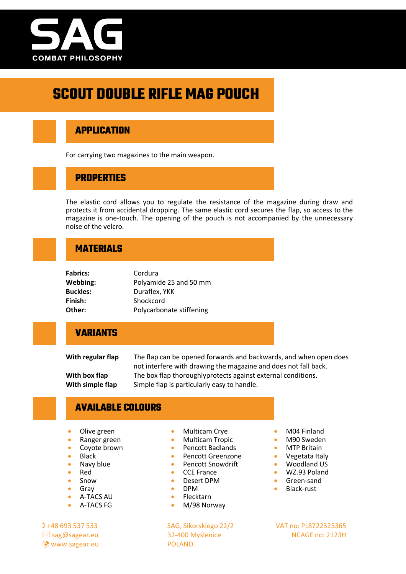

# **SCOUT DOUBLE RIFLE MAG POUCH**

#### **APPLICATION**

For carrying two magazines to the main weapon.

#### **PROPERTIES**

The elastic cord allows you to regulate the resistance of the magazine during draw and protects it from accidental dropping. The same elastic cord secures the flap, so access to the magazine is one-touch. The opening of the pouch is not accompanied by the unnecessary noise of the velcro.

### **MATERIALS**

| <b>Fabrics:</b> | Cordura                  |
|-----------------|--------------------------|
| Webbing:        | Polyamide 25 and 50 mm   |
| <b>Buckles:</b> | Duraflex, YKK            |
| Finish:         | Shockcord                |
| Other:          | Polycarbonate stiffening |

#### **VARIANTS**

**With regular flap** The flap can be opened forwards and backwards, and when open does not interfere with drawing the magazine and does not fall back. **With box flap** The box flap thoroughlyprotects against external conditions. With simple flap Simple flap is particularly easy to handle.

#### **AVAILABLE COLOURS**

- Olive green
- Ranger green
- Coyote brown
- Black
- Navy blue
- Red • Snow
- Gray
- A-TACS AU
- 
- A-TACS FG

**(?)** www.sagear.eu POLAND

- Multicam Crye
- Multicam Tropic
- Pencott Badlands
- Pencott Greenzone
- Pencott Snowdrift
- CCE France
- Desert DPM
- DPM
- Flecktarn
- M/98 Norway

+48 693 537 533 SAG, Sikorskiego 22/2 VAT no: PL8722325365

- M04 Finland
- M90 Sweden
- MTP Britain
- Vegetata Italy
- Woodland US
- WZ.93 Poland
- Green-sand
- Black-rust

 $\boxtimes$  sag@sagear.eu 32-400 Myślenice NCAGE no: 2123H